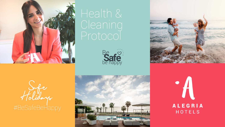







### Health & Cleaning Protocol

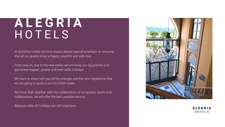### **A L E G R I A** H O T E L S

At ALEGRIA Hotels we have always placed special emphasis on ensuring that all our guests enjoy a happy, peaceful and safe stay.

From now on, due to the new reality we are living, our top priority is to guarantee happier, quieter and even safer holidays.

We want to share with you all the changes and the new regulations that we are going to apply in our ALEGRIA hotels.

We know that, together with the collaboration of our guests, teams and collaborators, we will offer the best possible service.

Because, after all, holidays are still important.

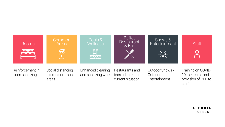



Reinforcement in room sanitizing

Social distancing rules in common areas

Enhanced cleaning and sanitizing work

Restaurants and bars adapted to the current situation Outdoor Shows / **Outdoor** Entertainment

Training on COVID-19 measures and provision of PPE to staff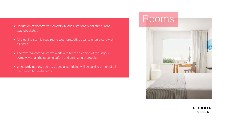- Reduction of decorative elements, textiles, stationery, toiletries, irons, wastebaskets...
- All cleaning staff is required to wear protective gear to ensure safety at all times.
- The external companies we work with for the cleaning of the lingerie comply with all the specific safety and sanitizing protocols.
- When arriving new guests, a special sanitizing will be carried out on of all the manipulable elements.



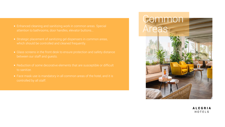- Enhanced cleaning and sanitizing work in common areas. Special attention to bathrooms, door handles, elevator buttons...
- Strategic placement of sanitizing gel dispensers in common areas, which should be controlled and cleaned frequently.
- Glass screens in the front desk to ensure protection and safety distance between our staff and guests.
- Reduction of some decorative elements that are susceptible or difficult to sanitize.
- Face mask use is mandatory in all common areas of the hotel, and it is controlled by all staff.

### Common Areas

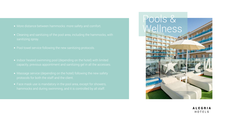- More distance between hammocks: more safety and comfort.
- Cleaning and sanitizing of the pool area, including the hammocks, with sanitizing spray.
- Pool towel service following the new sanitizing protocols.
- Indoor heated swimming pool (depending on the hotel) with limited capacity, previous appointment and sanitizing gel in all the accesses.
- Massage service (depending on the hotel) following the new safety protocols for both the staff and the client.
- Face mask use is mandatory in the pool area, except for showers, hammocks and during swimming, and it is controlled by all staff.

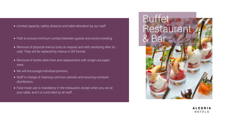- Limited capacity, safety distance and table allocation by our staff.
- Path to ensure minimum contact between guests and avoid crowding.
- Removal of physical menus (only on request and with sanitizing after its use). They will be replaced by menus in QR format.
- Removal of textile table linen and replacement with single-use paper ones.
- We will encourage individual portions.
- Staff in charge of cleaning common utensils and assuring constant disinfection.
- Face mask use is mandatory in the restaurant, except when you are at your table, and it is controlled by all staff.

### Buffet Restaurant & Bar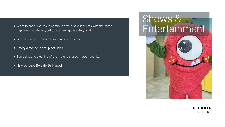- We reinvent ourselves to continue providing our guests with the same happiness as always, but guaranteeing the safety of all.
- We encourage outdoor shows and entertainment.
- Safety distance in group activities.
- Sanitizing and cleaning of the materials used in each activity.
- New concept: Be Safe, Be Happy!

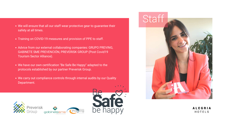- We will ensure that all our staff wear protective gear to guarantee their safety at all times.
- Training on COVID-19 measures and provision of PPE to staff.
- Advice from our external collaborating companies: GRUPO PREVING, GABINETE SME PREVENCIÓN, PREVERISK GROUP (Post Covid19 Tourism Sector Alliance).
- We have our own certification "Be Safe Be Happy" adapted to the protocols established by our partner Preverisk Group.
- We carry out compliance controls through internal audits by our Quality Department.